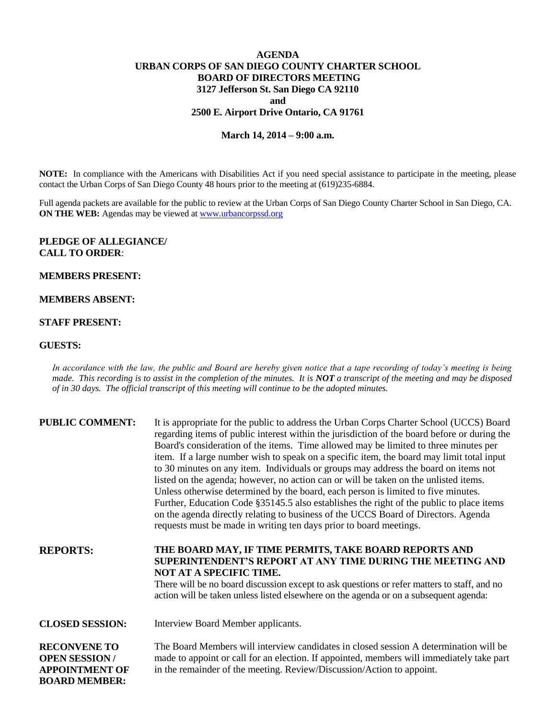# **AGENDA URBAN CORPS OF SAN DIEGO COUNTY CHARTER SCHOOL BOARD OF DIRECTORS MEETING 3127 Jefferson St. San Diego CA 92110 and 2500 E. Airport Drive Ontario, CA 91761**

### **March 14, 2014 – 9:00 a.m.**

**NOTE:** In compliance with the Americans with Disabilities Act if you need special assistance to participate in the meeting, please contact the Urban Corps of San Diego County 48 hours prior to the meeting at (619)235-6884.

Full agenda packets are available for the public to review at the Urban Corps of San Diego County Charter School in San Diego, CA. **ON THE WEB:** Agendas may be viewed at **www.urbancorpssd.org** 

#### **PLEDGE OF ALLEGIANCE/ CALL TO ORDER**:

#### **MEMBERS PRESENT:**

## **MEMBERS ABSENT:**

#### **STAFF PRESENT:**

**BOARD MEMBER:**

#### **GUESTS:**

*In accordance with the law, the public and Board are hereby given notice that a tape recording of today's meeting is being made. This recording is to assist in the completion of the minutes. It is NOT a transcript of the meeting and may be disposed of in 30 days. The official transcript of this meeting will continue to be the adopted minutes.*

| <b>PUBLIC COMMENT:</b>                                               | It is appropriate for the public to address the Urban Corps Charter School (UCCS) Board<br>regarding items of public interest within the jurisdiction of the board before or during the<br>Board's consideration of the items. Time allowed may be limited to three minutes per<br>item. If a large number wish to speak on a specific item, the board may limit total input<br>to 30 minutes on any item. Individuals or groups may address the board on items not<br>listed on the agenda; however, no action can or will be taken on the unlisted items.<br>Unless otherwise determined by the board, each person is limited to five minutes.<br>Further, Education Code §35145.5 also establishes the right of the public to place items<br>on the agenda directly relating to business of the UCCS Board of Directors. Agenda<br>requests must be made in writing ten days prior to board meetings. |
|----------------------------------------------------------------------|----------------------------------------------------------------------------------------------------------------------------------------------------------------------------------------------------------------------------------------------------------------------------------------------------------------------------------------------------------------------------------------------------------------------------------------------------------------------------------------------------------------------------------------------------------------------------------------------------------------------------------------------------------------------------------------------------------------------------------------------------------------------------------------------------------------------------------------------------------------------------------------------------------|
| <b>REPORTS:</b>                                                      | THE BOARD MAY, IF TIME PERMITS, TAKE BOARD REPORTS AND<br>SUPERINTENDENT'S REPORT AT ANY TIME DURING THE MEETING AND<br>NOT AT A SPECIFIC TIME.<br>There will be no board discussion except to ask questions or refer matters to staff, and no<br>action will be taken unless listed elsewhere on the agenda or on a subsequent agenda:                                                                                                                                                                                                                                                                                                                                                                                                                                                                                                                                                                  |
| <b>CLOSED SESSION:</b>                                               | Interview Board Member applicants.                                                                                                                                                                                                                                                                                                                                                                                                                                                                                                                                                                                                                                                                                                                                                                                                                                                                       |
| <b>RECONVENE TO</b><br><b>OPEN SESSION/</b><br><b>APPOINTMENT OF</b> | The Board Members will interview candidates in closed session A determination will be<br>made to appoint or call for an election. If appointed, members will immediately take part<br>in the remainder of the meeting. Review/Discussion/Action to appoint.                                                                                                                                                                                                                                                                                                                                                                                                                                                                                                                                                                                                                                              |